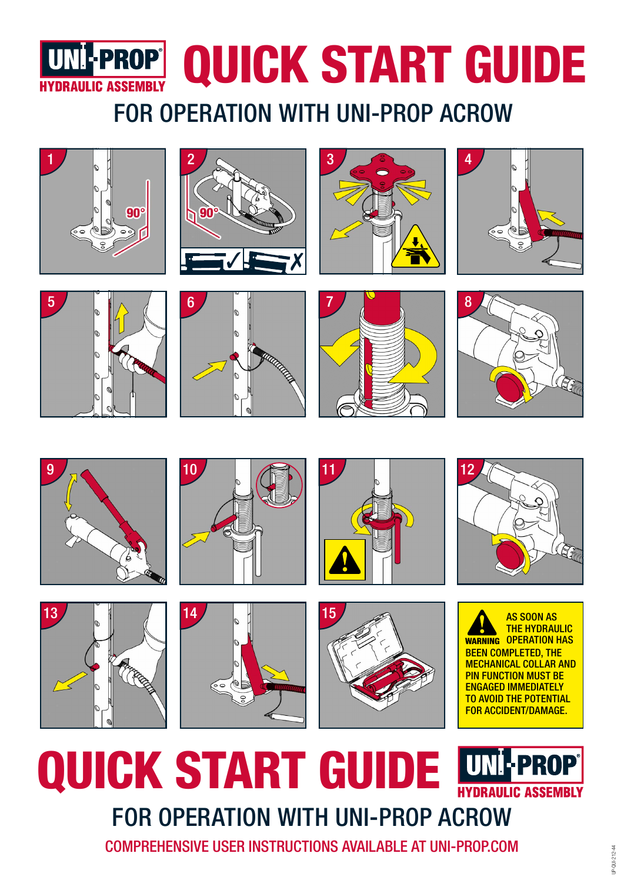

# FOR OPERATION WITH UNI-PROP ACROW

































# QUICK START GUIDE **EX** PROP **C. ASSEMBLY** FOR OPERATION WITH UNI-PROP ACROW

COMPREHENSIVE USER INSTRUCTIONS AVAILABLE AT UNI-PROP.COM